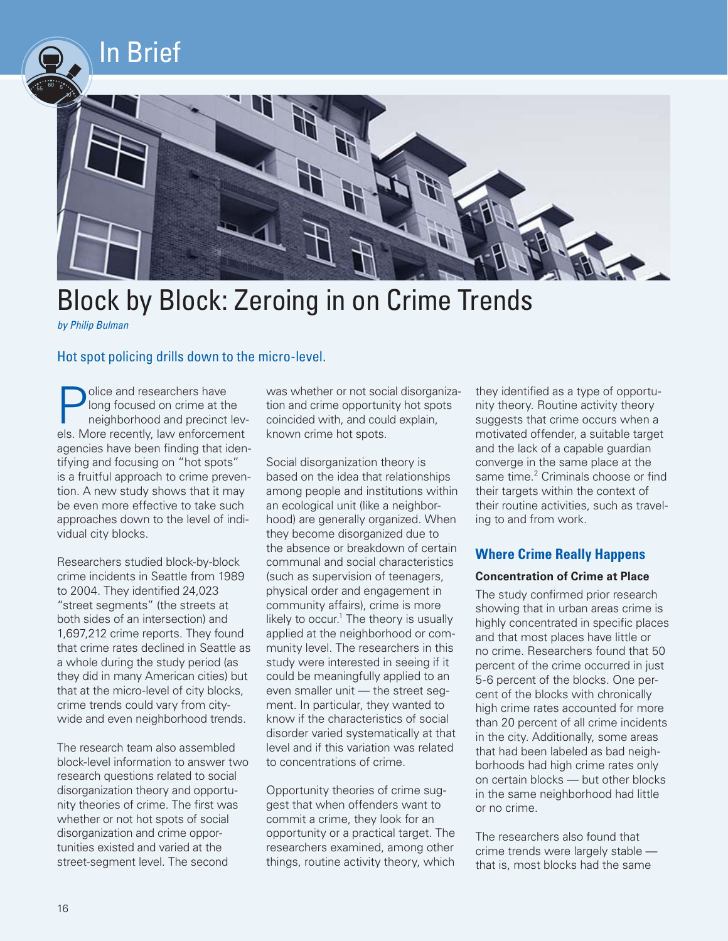

# Block by Block: Zeroing in on Crime Trends

*by Philip Bulman* 

# Hot spot policing drills down to the micro-level.

**Police and researchers have**<br>long focused on crime at the<br>neighborhood and precinct<br>als. More recently, law orfercome long focused on crime at the neighborhood and precinct lev els. More recently, law enforcement agencies have been finding that iden tifying and focusing on "hot spots" is a fruitful approach to crime preven tion. A new study shows that it may be even more effective to take such approaches down to the level of indi vidual city blocks. ֚֚֡ ֚֚֡ ֚֚֡ ֘֒

֬֘֒ Researchers studied block-by-block crime incidents in Seattle from 1989 to 2004. They identified 24,023 "street segments" (the streets at both sides of an intersection) and 1,697,212 crime reports. They found that crime rates declined in Seattle as a whole during the study period (as they did in many American cities) but that at the micro-level of city blocks, crime trends could vary from city wide and even neighborhood trends.

The research team also assembled block-level information to answer two research questions related to social disorganization theory and opportu nity theories of crime. The first was whether or not hot spots of social disorganization and crime oppor tunities existed and varied at the street-segment level. The second ֘֒ ֦֧֦֧֦֧֦֧֦֧֦֧֦֧֦֧֦֧ׅ֧ׅ֧ׅ֧ׅ֧ׅ֦֧ׅ֪֪֪ׅ֦֡֡֜֜֜֜֜֞֬֜֓֞֡

was whether or not social disorganiza tion and crime opportunity hot spots coincided with, and could explain, known crime hot spots. ֬֘֒

j ֚֚֡ ֬֘֒ Social disorganization theory is based on the idea that relationships among people and institutions within an ecological unit (like a neighbor hood) are generally organized. When they become disorganized due to the absence or breakdown of certain communal and social characteristics (such as supervision of teenagers, physical order and engagement in community affairs), crime is more likely to occur. $1$  The theory is usually applied at the neighborhood or com munity level. The researchers in this study were interested in seeing if it could be meaningfully applied to an even smaller unit — the street seg ment. In particular, they wanted to know if the characteristics of social disorder varied systematically at that level and if this variation was related to concentrations of crime.

֘֒ Opportunity theories of crime sug gest that when offenders want to commit a crime, they look for an opportunity or a practical target. The researchers examined, among other things, routine activity theory, which

֘֒ ֬֘֒ they identified as a type of opportu nity theory. Routine activity theory suggests that crime occurs when a motivated offender, a suitable target and the lack of a capable guardian converge in the same place at the same time.<sup>2</sup> Criminals choose or find their targets within the context of their routine activities, such as travel ing to and from work.

# **Where Crime Really Happens**

#### **Concentration of Crime at Place**

The study confirmed prior research showing that in urban areas crime is highly concentrated in specific places and that most places have little or no crime. Researchers found that 50 percent of the crime occurred in just 5-6 percent of the blocks. One per cent of the blocks with chronically high crime rates accounted for more than 20 percent of all crime incidents in the city. Additionally, some areas that had been labeled as bad neigh borhoods had high crime rates only on certain blocks — but other blocks in the same neighborhood had little or no crime. ĺ ֚֚֡

The researchers also found that crime trends were largely stable that is, most blocks had the same